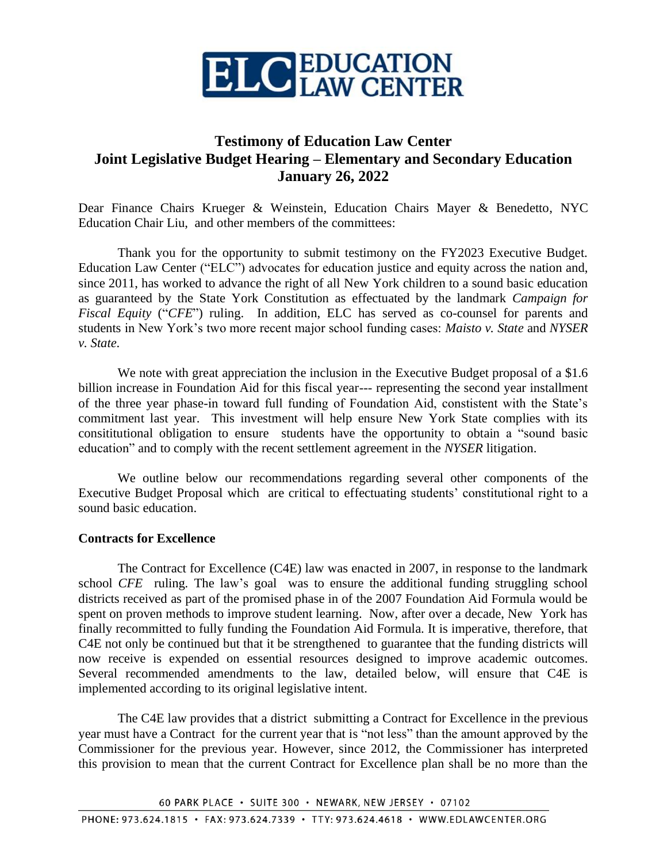

# **Testimony of Education Law Center Joint Legislative Budget Hearing – Elementary and Secondary Education January 26, 2022**

Dear Finance Chairs Krueger & Weinstein, Education Chairs Mayer & Benedetto, NYC Education Chair Liu, and other members of the committees:

Thank you for the opportunity to submit testimony on the FY2023 Executive Budget. Education Law Center ("ELC") advocates for education justice and equity across the nation and, since 2011, has worked to advance the right of all New York children to a sound basic education as guaranteed by the State York Constitution as effectuated by the landmark *Campaign for Fiscal Equity* ("*CFE*") ruling. In addition, ELC has served as co-counsel for parents and students in New York's two more recent major school funding cases: *Maisto v. State* and *NYSER v. State*.

We note with great appreciation the inclusion in the Executive Budget proposal of a \$1.6 billion increase in Foundation Aid for this fiscal year--- representing the second year installment of the three year phase-in toward full funding of Foundation Aid, constistent with the State's commitment last year. This investment will help ensure New York State complies with its consititutional obligation to ensure students have the opportunity to obtain a "sound basic education" and to comply with the recent settlement agreement in the *NYSER* litigation.

We outline below our recommendations regarding several other components of the Executive Budget Proposal which are critical to effectuating students' constitutional right to a sound basic education.

## **Contracts for Excellence**

The Contract for Excellence (C4E) law was enacted in 2007, in response to the landmark school *CFE* ruling*.* The law's goal was to ensure the additional funding struggling school districts received as part of the promised phase in of the 2007 Foundation Aid Formula would be spent on proven methods to improve student learning. Now, after over a decade, New York has finally recommitted to fully funding the Foundation Aid Formula. It is imperative, therefore, that C4E not only be continued but that it be strengthened to guarantee that the funding districts will now receive is expended on essential resources designed to improve academic outcomes. Several recommended amendments to the law, detailed below, will ensure that C4E is implemented according to its original legislative intent.

The C4E law provides that a district submitting a Contract for Excellence in the previous year must have a Contract for the current year that is "not less" than the amount approved by the Commissioner for the previous year. However, since 2012, the Commissioner has interpreted this provision to mean that the current Contract for Excellence plan shall be no more than the

60 PARK PLACE · SUITE 300 · NEWARK, NEW JERSEY · 07102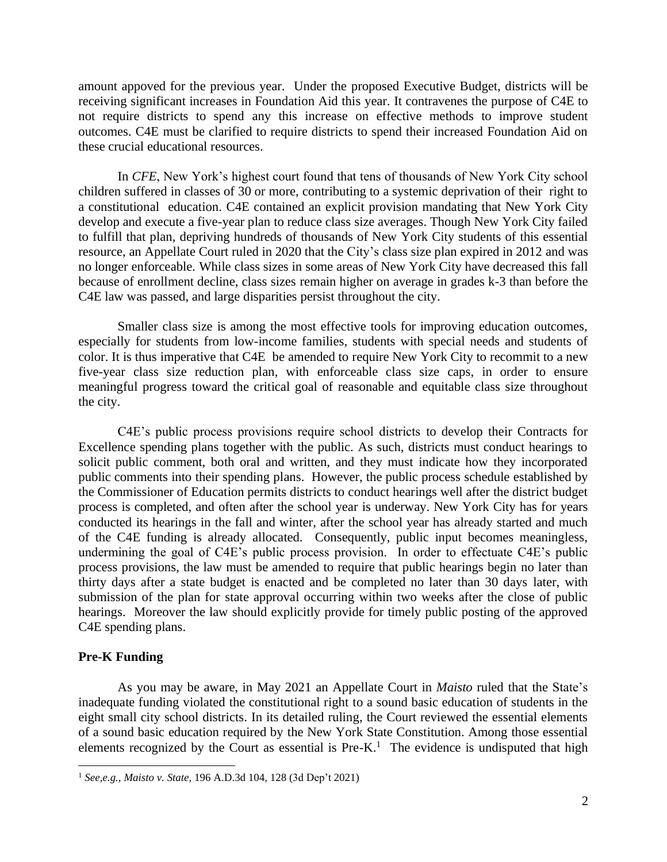amount appoved for the previous year. Under the proposed Executive Budget, districts will be receiving significant increases in Foundation Aid this year. It contravenes the purpose of C4E to not require districts to spend any this increase on effective methods to improve student outcomes. C4E must be clarified to require districts to spend their increased Foundation Aid on these crucial educational resources.

In *CFE*, New York's highest court found that tens of thousands of New York City school children suffered in classes of 30 or more, contributing to a systemic deprivation of their right to a constitutional education. C4E contained an explicit provision mandating that New York City develop and execute a five-year plan to reduce class size averages. Though New York City failed to fulfill that plan, depriving hundreds of thousands of New York City students of this essential resource, an Appellate Court ruled in 2020 that the City's class size plan expired in 2012 and was no longer enforceable. While class sizes in some areas of New York City have decreased this fall because of enrollment decline, class sizes remain higher on average in grades k-3 than before the C4E law was passed, and large disparities persist throughout the city.

Smaller class size is among the most effective tools for improving education outcomes, especially for students from low-income families, students with special needs and students of color. It is thus imperative that C4E be amended to require New York City to recommit to a new five-year class size reduction plan, with enforceable class size caps, in order to ensure meaningful progress toward the critical goal of reasonable and equitable class size throughout the city.

C4E's public process provisions require school districts to develop their Contracts for Excellence spending plans together with the public. As such, districts must conduct hearings to solicit public comment, both oral and written, and they must indicate how they incorporated public comments into their spending plans. However, the public process schedule established by the Commissioner of Education permits districts to conduct hearings well after the district budget process is completed, and often after the school year is underway. New York City has for years conducted its hearings in the fall and winter, after the school year has already started and much of the C4E funding is already allocated. Consequently, public input becomes meaningless, undermining the goal of C4E's public process provision. In order to effectuate C4E's public process provisions, the law must be amended to require that public hearings begin no later than thirty days after a state budget is enacted and be completed no later than 30 days later, with submission of the plan for state approval occurring within two weeks after the close of public hearings. Moreover the law should explicitly provide for timely public posting of the approved C4E spending plans.

#### **Pre-K Funding**

As you may be aware, in May 2021 an Appellate Court in *Maisto* ruled that the State's inadequate funding violated the constitutional right to a sound basic education of students in the eight small city school districts. In its detailed ruling, the Court reviewed the essential elements of a sound basic education required by the New York State Constitution. Among those essential elements recognized by the Court as essential is  $Pre-K<sup>1</sup>$ . The evidence is undisputed that high

<sup>1</sup> *See,e.g., Maisto v. State,* 196 A.D.3d 104, 128 (3d Dep't 2021)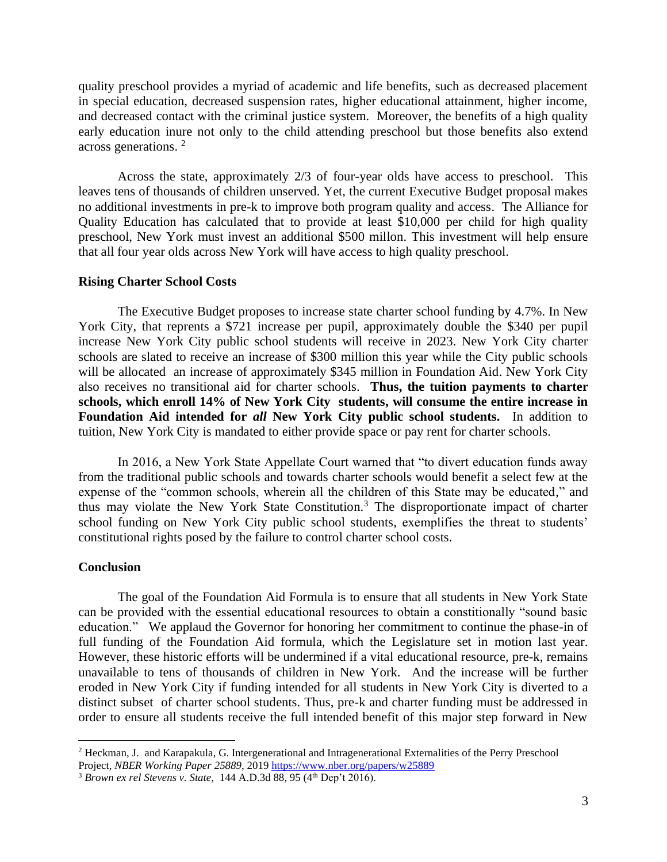quality preschool provides a myriad of academic and life benefits, such as decreased placement in special education, decreased suspension rates, higher educational attainment, higher income, and decreased contact with the criminal justice system. Moreover, the benefits of a high quality early education inure not only to the child attending preschool but those benefits also extend across generations. 2

Across the state, approximately 2/3 of four-year olds have access to preschool. This leaves tens of thousands of children unserved. Yet, the current Executive Budget proposal makes no additional investments in pre-k to improve both program quality and access. The Alliance for Quality Education has calculated that to provide at least \$10,000 per child for high quality preschool, New York must invest an additional \$500 millon. This investment will help ensure that all four year olds across New York will have access to high quality preschool.

### **Rising Charter School Costs**

The Executive Budget proposes to increase state charter school funding by 4.7%. In New York City, that reprents a \$721 increase per pupil, approximately double the \$340 per pupil increase New York City public school students will receive in 2023. New York City charter schools are slated to receive an increase of \$300 million this year while the City public schools will be allocated an increase of approximately \$345 million in Foundation Aid. New York City also receives no transitional aid for charter schools. **Thus, the tuition payments to charter schools, which enroll 14% of New York City students, will consume the entire increase in Foundation Aid intended for** *all* **New York City public school students.** In addition to tuition, New York City is mandated to either provide space or pay rent for charter schools.

In 2016, a New York State Appellate Court warned that "to divert education funds away from the traditional public schools and towards charter schools would benefit a select few at the expense of the "common schools, wherein all the children of this State may be educated," and thus may violate the New York State Constitution.<sup>3</sup> The disproportionate impact of charter school funding on New York City public school students, exemplifies the threat to students' constitutional rights posed by the failure to control charter school costs.

#### **Conclusion**

The goal of the Foundation Aid Formula is to ensure that all students in New York State can be provided with the essential educational resources to obtain a constitionally "sound basic education." We applaud the Governor for honoring her commitment to continue the phase-in of full funding of the Foundation Aid formula, which the Legislature set in motion last year. However, these historic efforts will be undermined if a vital educational resource, pre-k, remains unavailable to tens of thousands of children in New York. And the increase will be further eroded in New York City if funding intended for all students in New York City is diverted to a distinct subset of charter school students. Thus, pre-k and charter funding must be addressed in order to ensure all students receive the full intended benefit of this major step forward in New

<sup>2</sup> Heckman, J. and Karapakula, G. Intergenerational and Intragenerational Externalities of the Perry Preschool Project, *NBER Working Paper 25889*, 2019<https://www.nber.org/papers/w25889>

<sup>&</sup>lt;sup>3</sup> Brown ex rel Stevens v. State, 144 A.D.3d 88, 95 (4<sup>th</sup> Dep't 2016).